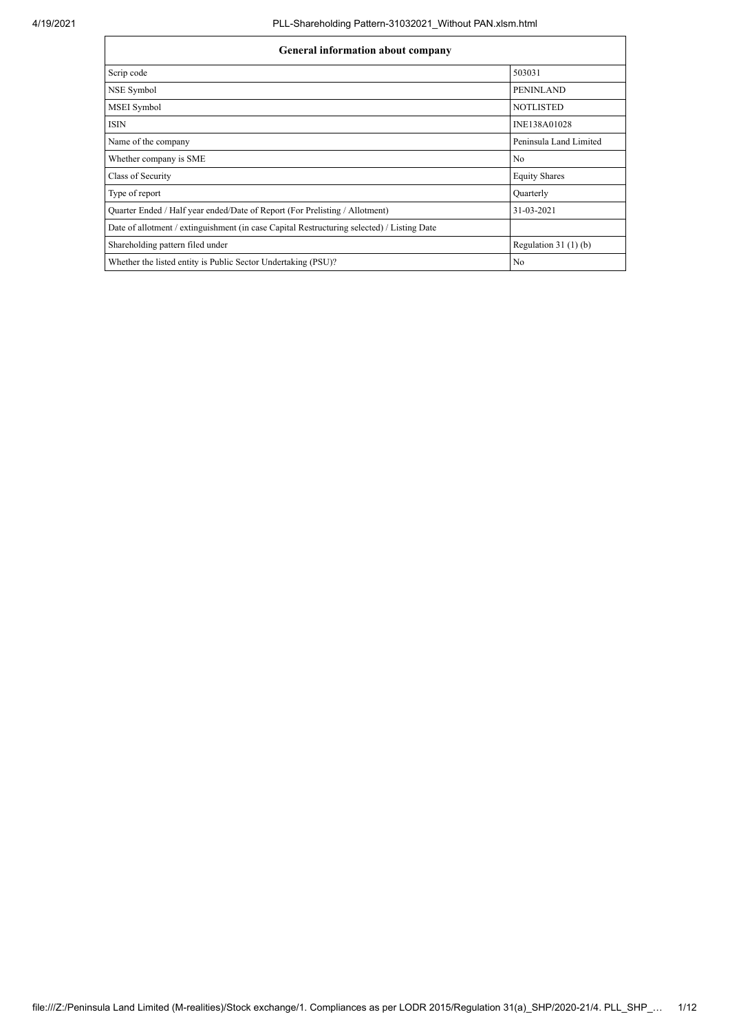| <b>General information about company</b>                                                   |                        |
|--------------------------------------------------------------------------------------------|------------------------|
| Scrip code                                                                                 | 503031                 |
| NSE Symbol                                                                                 | <b>PENINLAND</b>       |
| MSEI Symbol                                                                                | <b>NOTLISTED</b>       |
| <b>ISIN</b>                                                                                | INE138A01028           |
| Name of the company                                                                        | Peninsula Land Limited |
| Whether company is SME                                                                     | No                     |
| Class of Security                                                                          | <b>Equity Shares</b>   |
| Type of report                                                                             | Quarterly              |
| Quarter Ended / Half year ended/Date of Report (For Prelisting / Allotment)                | 31-03-2021             |
| Date of allotment / extinguishment (in case Capital Restructuring selected) / Listing Date |                        |
| Shareholding pattern filed under                                                           | Regulation $31(1)(b)$  |
| Whether the listed entity is Public Sector Undertaking (PSU)?                              | No                     |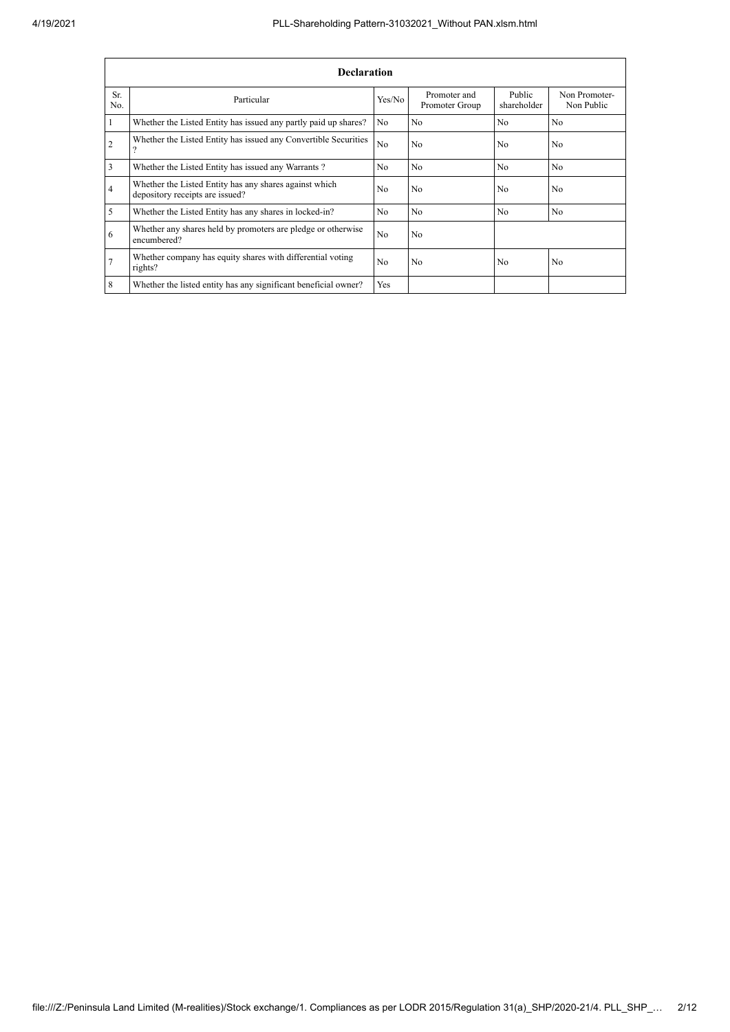|                | <b>Declaration</b>                                                                        |                |                                |                       |                             |  |  |  |  |  |  |  |  |
|----------------|-------------------------------------------------------------------------------------------|----------------|--------------------------------|-----------------------|-----------------------------|--|--|--|--|--|--|--|--|
| Sr.<br>No.     | Particular                                                                                | Yes/No         | Promoter and<br>Promoter Group | Public<br>shareholder | Non Promoter-<br>Non Public |  |  |  |  |  |  |  |  |
|                | Whether the Listed Entity has issued any partly paid up shares?                           | No             | N <sub>0</sub>                 | N <sub>0</sub>        | N <sub>o</sub>              |  |  |  |  |  |  |  |  |
| $\overline{2}$ | Whether the Listed Entity has issued any Convertible Securities<br>$\Omega$               | N <sub>o</sub> | N <sub>0</sub>                 | N <sub>0</sub>        | N <sub>0</sub>              |  |  |  |  |  |  |  |  |
| 3              | Whether the Listed Entity has issued any Warrants?                                        | N <sub>0</sub> | N <sub>0</sub>                 | N <sub>0</sub>        | N <sub>0</sub>              |  |  |  |  |  |  |  |  |
| $\overline{4}$ | Whether the Listed Entity has any shares against which<br>depository receipts are issued? | N <sub>0</sub> | N <sub>0</sub>                 | N <sub>0</sub>        | N <sub>0</sub>              |  |  |  |  |  |  |  |  |
| 5              | Whether the Listed Entity has any shares in locked-in?                                    | No             | N <sub>0</sub>                 | N <sub>0</sub>        | N <sub>0</sub>              |  |  |  |  |  |  |  |  |
| 6              | Whether any shares held by promoters are pledge or otherwise<br>encumbered?               | N <sub>0</sub> | N <sub>o</sub>                 |                       |                             |  |  |  |  |  |  |  |  |
| $\overline{7}$ | Whether company has equity shares with differential voting<br>rights?                     | N <sub>0</sub> | N <sub>0</sub>                 | No                    | N <sub>0</sub>              |  |  |  |  |  |  |  |  |
| 8              | Whether the listed entity has any significant beneficial owner?                           | Yes            |                                |                       |                             |  |  |  |  |  |  |  |  |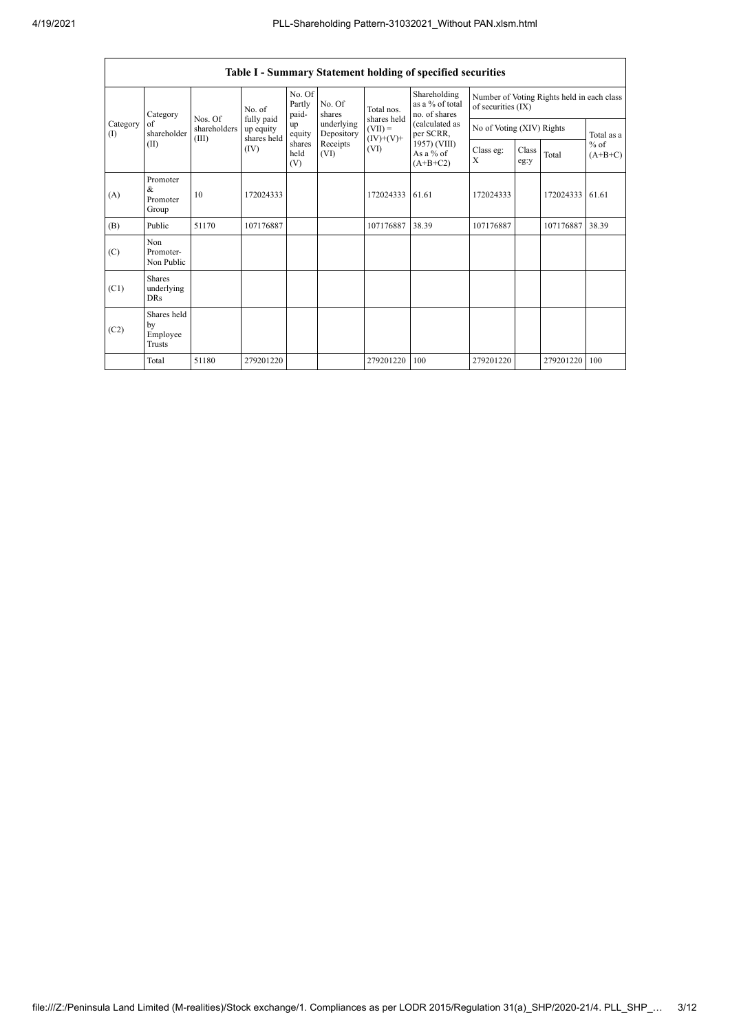|                   |                                                |                                  |                                        |                           |                                              |                                         | <b>Table I - Summary Statement holding of specified securities</b> |                           |                                            |           |                     |  |
|-------------------|------------------------------------------------|----------------------------------|----------------------------------------|---------------------------|----------------------------------------------|-----------------------------------------|--------------------------------------------------------------------|---------------------------|--------------------------------------------|-----------|---------------------|--|
|                   | Category                                       |                                  | No. of                                 | No. Of<br>Partly<br>paid- | No. Of<br>shares                             | Total nos.                              | Shareholding<br>as a % of total<br>no. of shares                   | of securities (IX)        | Number of Voting Rights held in each class |           |                     |  |
| Category<br>$($ I | of<br>shareholder                              | Nos. Of<br>shareholders<br>(III) | fully paid<br>up equity<br>shares held | up<br>equity              | underlying<br>Depository<br>Receipts<br>(VI) | shares held<br>$(VII) =$<br>$(IV)+(V)+$ | (calculated as<br>per SCRR,                                        | No of Voting (XIV) Rights | Total as a                                 |           |                     |  |
|                   | (II)                                           |                                  | (IV)                                   | shares<br>held<br>(V)     |                                              | (VI)                                    | 1957) (VIII)<br>As a % of<br>$(A+B+C2)$                            | Class eg:<br>X            | Class<br>eg:y                              | Total     | $%$ of<br>$(A+B+C)$ |  |
| (A)               | Promoter<br>$\&$<br>Promoter<br>Group          | 10                               | 172024333                              |                           |                                              | 172024333                               | 61.61                                                              | 172024333                 |                                            | 172024333 | 61.61               |  |
| (B)               | Public                                         | 51170                            | 107176887                              |                           |                                              | 107176887                               | 38.39                                                              | 107176887                 |                                            | 107176887 | 38.39               |  |
| (C)               | Non<br>Promoter-<br>Non Public                 |                                  |                                        |                           |                                              |                                         |                                                                    |                           |                                            |           |                     |  |
| (C1)              | <b>Shares</b><br>underlying<br><b>DRs</b>      |                                  |                                        |                           |                                              |                                         |                                                                    |                           |                                            |           |                     |  |
| (C2)              | Shares held<br>by<br>Employee<br><b>Trusts</b> |                                  |                                        |                           |                                              |                                         |                                                                    |                           |                                            |           |                     |  |
|                   | Total                                          | 51180                            | 279201220                              |                           |                                              | 279201220                               | 100                                                                | 279201220                 |                                            | 279201220 | 100                 |  |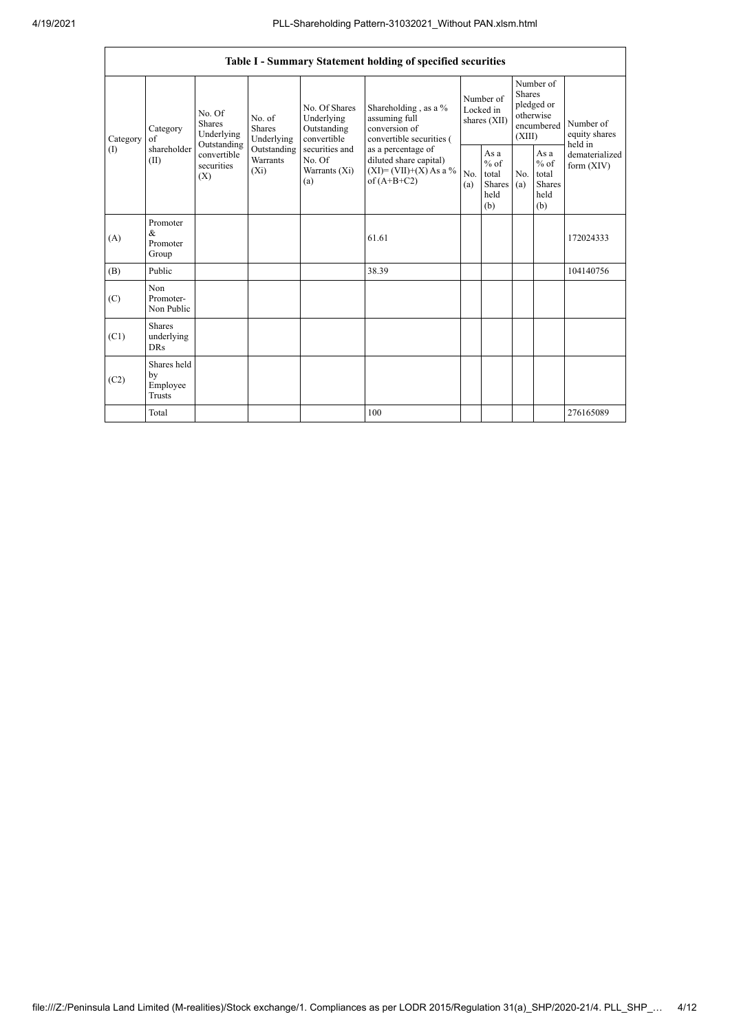|          |                                                |                                               |                                       |                                                           | Table I - Summary Statement holding of specified securities                                |            |                                                  |                         |                                                         |                                       |
|----------|------------------------------------------------|-----------------------------------------------|---------------------------------------|-----------------------------------------------------------|--------------------------------------------------------------------------------------------|------------|--------------------------------------------------|-------------------------|---------------------------------------------------------|---------------------------------------|
| Category | Category<br>of                                 | No. Of<br>Shares<br>Underlying<br>Outstanding | No. of<br><b>Shares</b><br>Underlying | No. Of Shares<br>Underlying<br>Outstanding<br>convertible | Shareholding, as a %<br>assuming full<br>conversion of<br>convertible securities (         |            | Number of<br>Locked in<br>shares (XII)           | <b>Shares</b><br>(XIII) | Number of<br>pledged or<br>otherwise<br>encumbered      | Number of<br>equity shares<br>held in |
| $($ I    | shareholder<br>(II)                            | convertible<br>securities<br>(X)              | Outstanding<br>Warrants<br>$(X_i)$    | securities and<br>No. Of<br>Warrants (Xi)<br>(a)          | as a percentage of<br>diluted share capital)<br>$(XI) = (VII)+(X) As a %$<br>of $(A+B+C2)$ | No.<br>(a) | As a<br>$%$ of<br>total<br>Shares<br>held<br>(b) | No.<br>(a)              | As a<br>$%$ of<br>total<br><b>Shares</b><br>held<br>(b) | dematerialized<br>form $(XIV)$        |
| (A)      | Promoter<br>$\&$<br>Promoter<br>Group          |                                               |                                       |                                                           | 61.61                                                                                      |            |                                                  |                         |                                                         | 172024333                             |
| (B)      | Public                                         |                                               |                                       |                                                           | 38.39                                                                                      |            |                                                  |                         |                                                         | 104140756                             |
| (C)      | Non<br>Promoter-<br>Non Public                 |                                               |                                       |                                                           |                                                                                            |            |                                                  |                         |                                                         |                                       |
| (C1)     | <b>Shares</b><br>underlying<br><b>DRs</b>      |                                               |                                       |                                                           |                                                                                            |            |                                                  |                         |                                                         |                                       |
| (C2)     | Shares held<br>by<br>Employee<br><b>Trusts</b> |                                               |                                       |                                                           |                                                                                            |            |                                                  |                         |                                                         |                                       |
|          | Total                                          |                                               |                                       |                                                           | 100                                                                                        |            |                                                  |                         |                                                         | 276165089                             |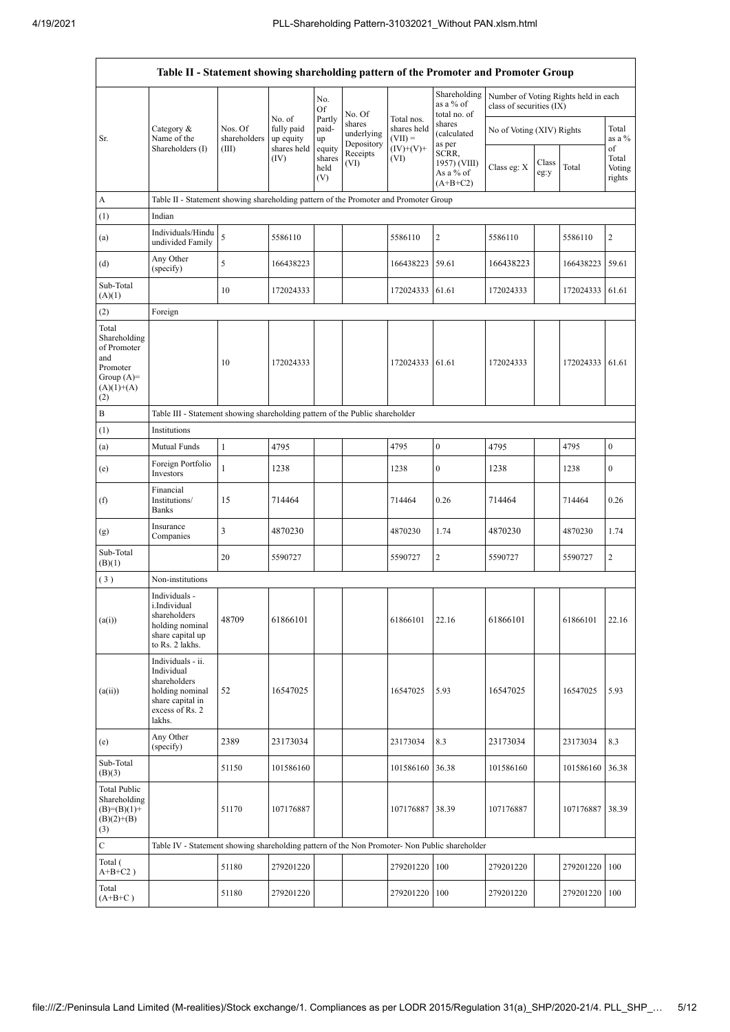| Table II - Statement showing shareholding pattern of the Promoter and Promoter Group           |                                                                                                                     |                                  |                                                  |                                 |                                    |                                                       |                                                  |                                                                  |               |                 |                           |  |
|------------------------------------------------------------------------------------------------|---------------------------------------------------------------------------------------------------------------------|----------------------------------|--------------------------------------------------|---------------------------------|------------------------------------|-------------------------------------------------------|--------------------------------------------------|------------------------------------------------------------------|---------------|-----------------|---------------------------|--|
|                                                                                                |                                                                                                                     |                                  |                                                  | No.<br>Of                       | No. Of                             |                                                       | Shareholding<br>as a % of<br>total no. of        | Number of Voting Rights held in each<br>class of securities (IX) |               |                 |                           |  |
| Sr.                                                                                            | Category &<br>Name of the<br>Shareholders (I)                                                                       | Nos. Of<br>shareholders<br>(III) | No. of<br>fully paid<br>up equity<br>shares held | Partly<br>paid-<br>up           | shares<br>underlying<br>Depository | Total nos.<br>shares held<br>$(VII) =$<br>$(IV)+(V)+$ | shares<br>(calculated<br>as per                  | No of Voting (XIV) Rights                                        |               |                 | Total<br>as a %<br>of     |  |
|                                                                                                |                                                                                                                     |                                  | (IV)                                             | equity<br>shares<br>held<br>(V) | Receipts<br>(VI)                   | (VI)                                                  | SCRR,<br>1957) (VIII)<br>As a % of<br>$(A+B+C2)$ | Class eg: X                                                      | Class<br>eg:y | Total           | Total<br>Voting<br>rights |  |
| A                                                                                              | Table II - Statement showing shareholding pattern of the Promoter and Promoter Group                                |                                  |                                                  |                                 |                                    |                                                       |                                                  |                                                                  |               |                 |                           |  |
| (1)                                                                                            | Indian                                                                                                              |                                  |                                                  |                                 |                                    |                                                       |                                                  |                                                                  |               |                 |                           |  |
| (a)                                                                                            | Individuals/Hindu<br>undivided Family                                                                               | 5                                | 5586110                                          |                                 |                                    | 5586110                                               | $\mathbf{2}$                                     | 5586110                                                          |               | 5586110         | 2                         |  |
| (d)                                                                                            | Any Other<br>(specify)                                                                                              | 5                                | 166438223                                        |                                 |                                    | 166438223                                             | 59.61                                            | 166438223                                                        |               | 166438223       | 59.61                     |  |
| Sub-Total<br>(A)(1)                                                                            |                                                                                                                     | 10                               | 172024333                                        |                                 |                                    | 172024333 61.61                                       |                                                  | 172024333                                                        |               | 172024333 61.61 |                           |  |
| (2)                                                                                            | Foreign                                                                                                             |                                  |                                                  |                                 |                                    |                                                       |                                                  |                                                                  |               |                 |                           |  |
| Total<br>Shareholding<br>of Promoter<br>and<br>Promoter<br>Group $(A)=$<br>$(A)(1)+(A)$<br>(2) |                                                                                                                     | 10                               | 172024333                                        |                                 |                                    | 172024333 61.61                                       |                                                  | 172024333                                                        |               | 172024333       | 61.61                     |  |
| B                                                                                              | Table III - Statement showing shareholding pattern of the Public shareholder                                        |                                  |                                                  |                                 |                                    |                                                       |                                                  |                                                                  |               |                 |                           |  |
| (1)                                                                                            | Institutions                                                                                                        |                                  |                                                  |                                 |                                    |                                                       |                                                  |                                                                  |               |                 |                           |  |
| (a)                                                                                            | Mutual Funds                                                                                                        | $\mathbf{1}$                     | 4795                                             |                                 |                                    | 4795                                                  | $\boldsymbol{0}$                                 | 4795                                                             |               | 4795            | 0                         |  |
| (e)                                                                                            | Foreign Portfolio<br>Investors                                                                                      | $\mathbf{1}$                     | 1238                                             |                                 |                                    | 1238                                                  | $\boldsymbol{0}$                                 | 1238                                                             |               | 1238            | 0                         |  |
| (f)                                                                                            | Financial<br>Institutions/<br>Banks                                                                                 | 15                               | 714464                                           |                                 |                                    | 714464                                                | 0.26                                             | 714464                                                           |               | 714464          | 0.26                      |  |
| (g)                                                                                            | Insurance<br>Companies                                                                                              | 3                                | 4870230                                          |                                 |                                    | 4870230                                               | 1.74                                             | 4870230                                                          |               | 4870230         | 1.74                      |  |
| Sub-Total<br>(B)(1)                                                                            |                                                                                                                     | 20                               | 5590727                                          |                                 |                                    | 5590727                                               | $\overline{c}$                                   | 5590727                                                          |               | 5590727         | 2                         |  |
| (3)                                                                                            | Non-institutions                                                                                                    |                                  |                                                  |                                 |                                    |                                                       |                                                  |                                                                  |               |                 |                           |  |
| (a(i))                                                                                         | Individuals -<br>i.Individual<br>shareholders<br>holding nominal<br>share capital up<br>to Rs. 2 lakhs.             | 48709                            | 61866101                                         |                                 |                                    | 61866101                                              | 22.16                                            | 61866101                                                         |               | 61866101        | 22.16                     |  |
| (a(ii))                                                                                        | Individuals - ii.<br>Individual<br>shareholders<br>holding nominal<br>share capital in<br>excess of Rs. 2<br>lakhs. | 52                               | 16547025                                         |                                 |                                    | 16547025                                              | 5.93                                             | 16547025                                                         |               | 16547025        | 5.93                      |  |
| (e)                                                                                            | Any Other<br>(specify)                                                                                              | 2389                             | 23173034                                         |                                 |                                    | 23173034                                              | 8.3                                              | 23173034                                                         |               | 23173034        | 8.3                       |  |
| Sub-Total<br>(B)(3)                                                                            |                                                                                                                     | 51150                            | 101586160                                        |                                 |                                    | 101586160                                             | 36.38                                            | 101586160                                                        |               | 101586160       | 36.38                     |  |
| <b>Total Public</b><br>Shareholding<br>$(B)=(B)(1)+$<br>$(B)(2)+(B)$<br>(3)                    |                                                                                                                     | 51170                            | 107176887                                        |                                 |                                    | 107176887                                             | 38.39                                            | 107176887                                                        |               | 107176887       | 38.39                     |  |
| $\mathbf C$                                                                                    | Table IV - Statement showing shareholding pattern of the Non Promoter- Non Public shareholder                       |                                  |                                                  |                                 |                                    |                                                       |                                                  |                                                                  |               |                 |                           |  |
| Total (<br>$A+B+C2$ )                                                                          |                                                                                                                     | 51180                            | 279201220                                        |                                 |                                    | 279201220                                             | 100                                              | 279201220                                                        |               | 279201220       | 100                       |  |
| Total<br>$(A+B+C)$                                                                             |                                                                                                                     | 51180                            | 279201220                                        |                                 |                                    | 279201220 100                                         |                                                  | 279201220                                                        |               | 279201220 100   |                           |  |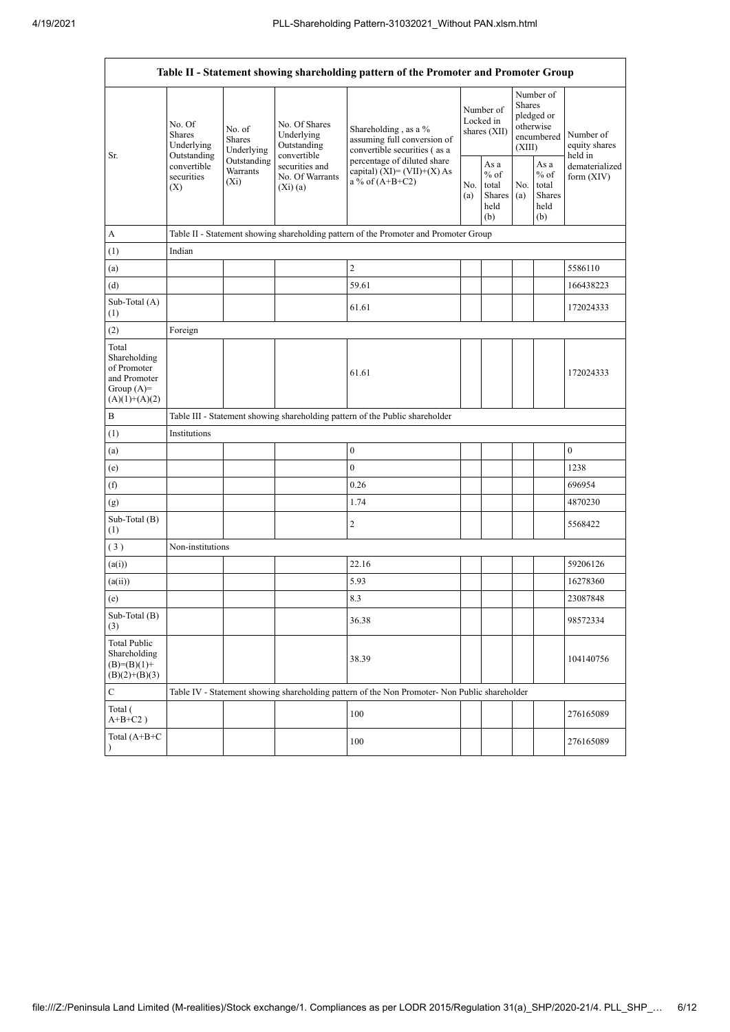|                                                                                         |                                                                                               |                                       |                                                           | Table II - Statement showing shareholding pattern of the Promoter and Promoter Group |                                                             |  |                                                                        |                                                         |                                       |  |
|-----------------------------------------------------------------------------------------|-----------------------------------------------------------------------------------------------|---------------------------------------|-----------------------------------------------------------|--------------------------------------------------------------------------------------|-------------------------------------------------------------|--|------------------------------------------------------------------------|---------------------------------------------------------|---------------------------------------|--|
| Sr.                                                                                     | No. Of<br><b>Shares</b><br>Underlying<br>Outstanding                                          | No. of<br><b>Shares</b><br>Underlying | No. Of Shares<br>Underlying<br>Outstanding<br>convertible | Shareholding, as a %<br>assuming full conversion of<br>convertible securities (as a  | Number of<br>Locked in<br>shares (XII)                      |  | Number of<br>Shares<br>pledged or<br>otherwise<br>encumbered<br>(XIII) |                                                         | Number of<br>equity shares<br>held in |  |
|                                                                                         | convertible<br>securities<br>(X)                                                              | Outstanding<br>Warrants<br>$(X_i)$    | securities and<br>No. Of Warrants<br>$(X_i)(a)$           | percentage of diluted share<br>capital) $(XI) = (VII)+(X) As$<br>a % of $(A+B+C2)$   | As a<br>$%$ of<br>No. total<br>Shares<br>(a)<br>held<br>(b) |  | No.<br>(a)                                                             | As a<br>$%$ of<br>total<br><b>Shares</b><br>held<br>(b) | dematerialized<br>form $(XIV)$        |  |
| A                                                                                       |                                                                                               |                                       |                                                           | Table II - Statement showing shareholding pattern of the Promoter and Promoter Group |                                                             |  |                                                                        |                                                         |                                       |  |
| (1)                                                                                     | Indian                                                                                        |                                       |                                                           |                                                                                      |                                                             |  |                                                                        |                                                         |                                       |  |
| (a)                                                                                     |                                                                                               |                                       |                                                           | $\overline{2}$                                                                       |                                                             |  |                                                                        |                                                         | 5586110                               |  |
| (d)                                                                                     |                                                                                               |                                       |                                                           | 59.61                                                                                |                                                             |  |                                                                        |                                                         | 166438223                             |  |
| Sub-Total (A)<br>(1)                                                                    |                                                                                               |                                       |                                                           | 61.61                                                                                |                                                             |  |                                                                        |                                                         | 172024333                             |  |
| (2)                                                                                     | Foreign                                                                                       |                                       |                                                           |                                                                                      |                                                             |  |                                                                        |                                                         |                                       |  |
| Total<br>Shareholding<br>of Promoter<br>and Promoter<br>Group $(A)=$<br>$(A)(1)+(A)(2)$ |                                                                                               |                                       |                                                           | 61.61                                                                                |                                                             |  |                                                                        |                                                         | 172024333                             |  |
| B                                                                                       |                                                                                               |                                       |                                                           | Table III - Statement showing shareholding pattern of the Public shareholder         |                                                             |  |                                                                        |                                                         |                                       |  |
| (1)                                                                                     | Institutions                                                                                  |                                       |                                                           |                                                                                      |                                                             |  |                                                                        |                                                         |                                       |  |
| (a)                                                                                     |                                                                                               |                                       |                                                           | $\boldsymbol{0}$                                                                     |                                                             |  |                                                                        |                                                         | $\mathbf{0}$                          |  |
| (e)                                                                                     |                                                                                               |                                       |                                                           | $\mathbf{0}$                                                                         |                                                             |  |                                                                        |                                                         | 1238                                  |  |
| (f)                                                                                     |                                                                                               |                                       |                                                           | 0.26                                                                                 |                                                             |  |                                                                        |                                                         | 696954                                |  |
| (g)                                                                                     |                                                                                               |                                       |                                                           | 1.74                                                                                 |                                                             |  |                                                                        |                                                         | 4870230                               |  |
| $Sub-Total(B)$<br>(1)                                                                   |                                                                                               |                                       |                                                           | $\overline{2}$                                                                       |                                                             |  |                                                                        |                                                         | 5568422                               |  |
| (3)                                                                                     | Non-institutions                                                                              |                                       |                                                           |                                                                                      |                                                             |  |                                                                        |                                                         |                                       |  |
| (a(i))                                                                                  |                                                                                               |                                       |                                                           | 22.16                                                                                |                                                             |  |                                                                        |                                                         | 59206126                              |  |
| (a(ii))                                                                                 |                                                                                               |                                       |                                                           | 5.93                                                                                 |                                                             |  |                                                                        |                                                         | 16278360                              |  |
| (e)                                                                                     |                                                                                               |                                       |                                                           | 8.3                                                                                  |                                                             |  |                                                                        |                                                         | 23087848                              |  |
| Sub-Total $(B)$<br>(3)                                                                  |                                                                                               |                                       |                                                           | 36.38                                                                                |                                                             |  |                                                                        |                                                         | 98572334                              |  |
| <b>Total Public</b><br>Shareholding<br>$(B)=(B)(1)+$<br>$(B)(2)+(B)(3)$                 |                                                                                               |                                       |                                                           | 38.39                                                                                |                                                             |  |                                                                        |                                                         | 104140756                             |  |
| $\mathbf C$                                                                             | Table IV - Statement showing shareholding pattern of the Non Promoter- Non Public shareholder |                                       |                                                           |                                                                                      |                                                             |  |                                                                        |                                                         |                                       |  |
| Total (<br>$A+B+C2$ )                                                                   |                                                                                               |                                       |                                                           | 100                                                                                  |                                                             |  |                                                                        |                                                         | 276165089                             |  |
| Total (A+B+C                                                                            |                                                                                               |                                       |                                                           | 100                                                                                  |                                                             |  |                                                                        |                                                         | 276165089                             |  |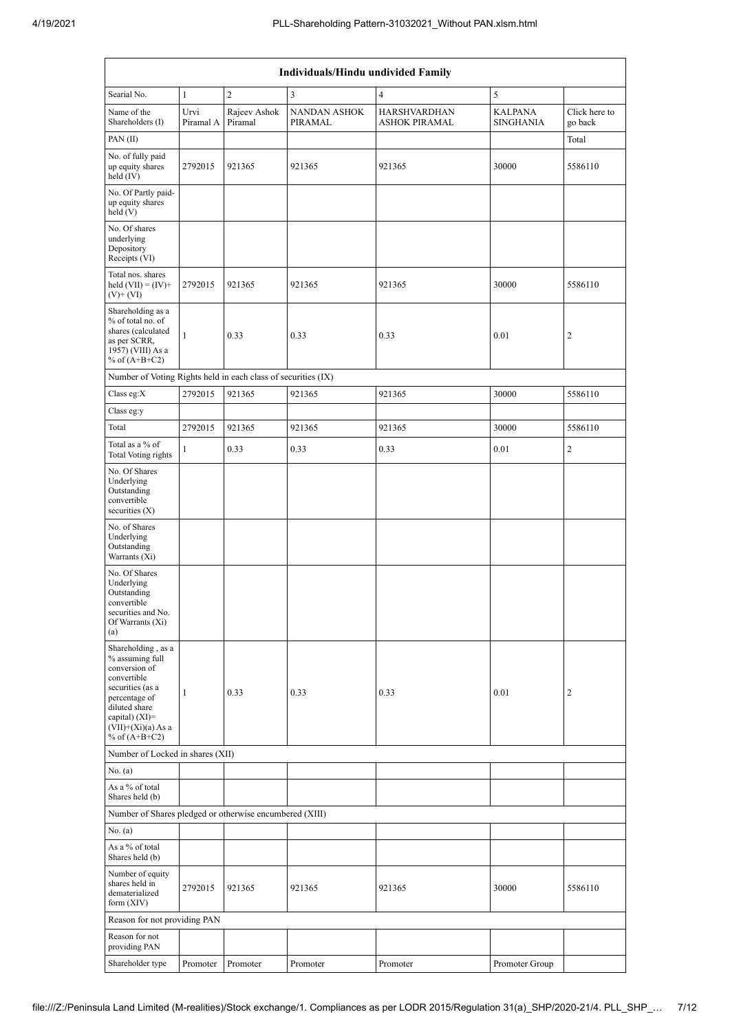|                                                                                                                                                                                            | <b>Individuals/Hindu undivided Family</b> |                         |                                |                                             |                             |                          |  |  |  |  |  |  |  |  |
|--------------------------------------------------------------------------------------------------------------------------------------------------------------------------------------------|-------------------------------------------|-------------------------|--------------------------------|---------------------------------------------|-----------------------------|--------------------------|--|--|--|--|--|--|--|--|
| Searial No.                                                                                                                                                                                | $\mathbf{1}$                              | $\overline{c}$          | $\overline{\mathbf{3}}$        | $\overline{4}$                              | 5                           |                          |  |  |  |  |  |  |  |  |
| Name of the<br>Shareholders (I)                                                                                                                                                            | Urvi<br>Piramal A                         | Rajeev Ashok<br>Piramal | <b>NANDAN ASHOK</b><br>PIRAMAL | <b>HARSHVARDHAN</b><br><b>ASHOK PIRAMAL</b> | KALPANA<br><b>SINGHANIA</b> | Click here to<br>go back |  |  |  |  |  |  |  |  |
| PAN(II)                                                                                                                                                                                    |                                           |                         |                                |                                             |                             | Total                    |  |  |  |  |  |  |  |  |
| No. of fully paid<br>up equity shares<br>held $(IV)$                                                                                                                                       | 2792015                                   | 921365                  | 921365                         | 921365                                      | 30000                       | 5586110                  |  |  |  |  |  |  |  |  |
| No. Of Partly paid-<br>up equity shares<br>held (V)                                                                                                                                        |                                           |                         |                                |                                             |                             |                          |  |  |  |  |  |  |  |  |
| No. Of shares<br>underlying<br>Depository<br>Receipts (VI)                                                                                                                                 |                                           |                         |                                |                                             |                             |                          |  |  |  |  |  |  |  |  |
| Total nos. shares<br>held $(VII) = (IV) +$<br>$(V)$ + $(VI)$                                                                                                                               | 2792015                                   | 921365                  | 921365                         | 921365                                      | 30000                       | 5586110                  |  |  |  |  |  |  |  |  |
| Shareholding as a<br>% of total no. of<br>shares (calculated<br>as per SCRR,<br>1957) (VIII) As a<br>% of $(A+B+C2)$                                                                       | $\mathbf{1}$                              | 0.33                    | 0.33                           | 0.33                                        | 0.01                        | 2                        |  |  |  |  |  |  |  |  |
| Number of Voting Rights held in each class of securities (IX)                                                                                                                              |                                           |                         |                                |                                             |                             |                          |  |  |  |  |  |  |  |  |
| Class eg:X                                                                                                                                                                                 | 2792015                                   | 921365                  | 921365                         | 921365                                      | 30000                       | 5586110                  |  |  |  |  |  |  |  |  |
| Class eg:y                                                                                                                                                                                 |                                           |                         |                                |                                             |                             |                          |  |  |  |  |  |  |  |  |
| Total                                                                                                                                                                                      | 2792015                                   | 921365                  | 921365                         | 921365                                      | 30000                       | 5586110                  |  |  |  |  |  |  |  |  |
| Total as a % of<br>Total Voting rights                                                                                                                                                     | 1                                         | 0.33                    | 0.33                           | 0.33                                        | 0.01                        | $\overline{c}$           |  |  |  |  |  |  |  |  |
| No. Of Shares<br>Underlying<br>Outstanding<br>convertible<br>securities $(X)$                                                                                                              |                                           |                         |                                |                                             |                             |                          |  |  |  |  |  |  |  |  |
| No. of Shares<br>Underlying<br>Outstanding<br>Warrants (Xi)                                                                                                                                |                                           |                         |                                |                                             |                             |                          |  |  |  |  |  |  |  |  |
| No. Of Shares<br>Underlying<br>Outstanding<br>convertible<br>securities and No.<br>Of Warrants (Xi)<br>(a)                                                                                 |                                           |                         |                                |                                             |                             |                          |  |  |  |  |  |  |  |  |
| Shareholding, as a<br>% assuming full<br>conversion of<br>convertible<br>securities (as a<br>percentage of<br>diluted share<br>capital) $(XI)=$<br>$(VII)+(Xi)(a)$ As a<br>% of $(A+B+C2)$ | 1                                         | 0.33                    | 0.33                           | 0.33                                        | 0.01                        | 2                        |  |  |  |  |  |  |  |  |
| Number of Locked in shares (XII)                                                                                                                                                           |                                           |                         |                                |                                             |                             |                          |  |  |  |  |  |  |  |  |
| No. (a)<br>As a % of total                                                                                                                                                                 |                                           |                         |                                |                                             |                             |                          |  |  |  |  |  |  |  |  |
| Shares held (b)<br>Number of Shares pledged or otherwise encumbered (XIII)                                                                                                                 |                                           |                         |                                |                                             |                             |                          |  |  |  |  |  |  |  |  |
| No. (a)                                                                                                                                                                                    |                                           |                         |                                |                                             |                             |                          |  |  |  |  |  |  |  |  |
| As a % of total<br>Shares held (b)                                                                                                                                                         |                                           |                         |                                |                                             |                             |                          |  |  |  |  |  |  |  |  |
| Number of equity<br>shares held in<br>dematerialized<br>form $(XIV)$                                                                                                                       | 2792015                                   | 921365                  | 921365                         | 921365                                      | 30000                       | 5586110                  |  |  |  |  |  |  |  |  |
| Reason for not providing PAN                                                                                                                                                               |                                           |                         |                                |                                             |                             |                          |  |  |  |  |  |  |  |  |
| Reason for not<br>providing PAN                                                                                                                                                            |                                           |                         |                                |                                             |                             |                          |  |  |  |  |  |  |  |  |
| Shareholder type                                                                                                                                                                           | Promoter                                  | Promoter                | Promoter                       | Promoter                                    | Promoter Group              |                          |  |  |  |  |  |  |  |  |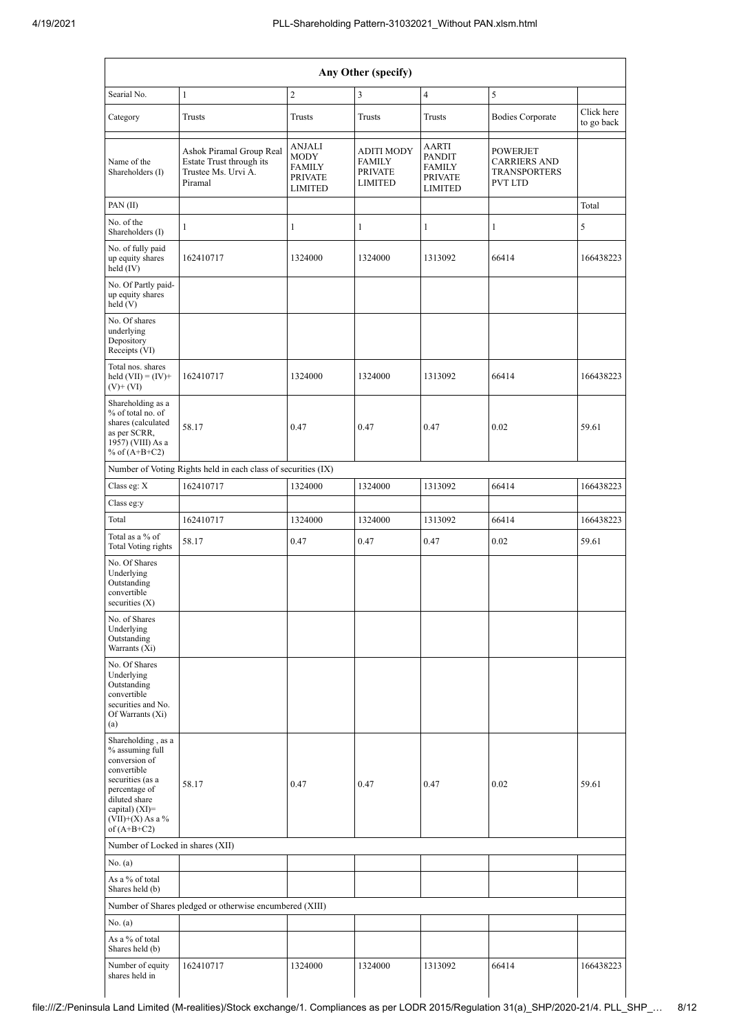|                                                                                                                                                                                        | Any Other (specify)                                                                    |                                                                                   |                                                                        |                                                               |                                                                                 |                          |  |  |  |  |  |  |  |  |
|----------------------------------------------------------------------------------------------------------------------------------------------------------------------------------------|----------------------------------------------------------------------------------------|-----------------------------------------------------------------------------------|------------------------------------------------------------------------|---------------------------------------------------------------|---------------------------------------------------------------------------------|--------------------------|--|--|--|--|--|--|--|--|
| Searial No.                                                                                                                                                                            | $\mathbf{1}$                                                                           | $\sqrt{2}$                                                                        | 3                                                                      | $\overline{4}$                                                | 5                                                                               |                          |  |  |  |  |  |  |  |  |
| Category                                                                                                                                                                               | Trusts                                                                                 | <b>Trusts</b>                                                                     | Trusts                                                                 | <b>Trusts</b>                                                 | <b>Bodies Corporate</b>                                                         | Click here<br>to go back |  |  |  |  |  |  |  |  |
| Name of the<br>Shareholders (I)                                                                                                                                                        | Ashok Piramal Group Real<br>Estate Trust through its<br>Trustee Ms. Urvi A.<br>Piramal | <b>ANJALI</b><br><b>MODY</b><br><b>FAMILY</b><br><b>PRIVATE</b><br><b>LIMITED</b> | <b>ADITI MODY</b><br><b>FAMILY</b><br><b>PRIVATE</b><br><b>LIMITED</b> | AARTI<br><b>PANDIT</b><br>FAMILY<br>PRIVATE<br><b>LIMITED</b> | <b>POWERJET</b><br><b>CARRIERS AND</b><br><b>TRANSPORTERS</b><br><b>PVT LTD</b> |                          |  |  |  |  |  |  |  |  |
| PAN(II)                                                                                                                                                                                |                                                                                        |                                                                                   |                                                                        |                                                               |                                                                                 | Total                    |  |  |  |  |  |  |  |  |
| No. of the<br>Shareholders (I)                                                                                                                                                         | $\mathbf{1}$                                                                           | $\mathbf{1}$                                                                      | $\mathbf{1}$                                                           | $\mathbf{1}$                                                  | $\mathbf{1}$                                                                    | 5                        |  |  |  |  |  |  |  |  |
| No. of fully paid<br>up equity shares<br>held (IV)                                                                                                                                     | 162410717                                                                              | 1324000                                                                           | 1324000                                                                | 1313092                                                       | 66414                                                                           | 166438223                |  |  |  |  |  |  |  |  |
| No. Of Partly paid-<br>up equity shares<br>held (V)                                                                                                                                    |                                                                                        |                                                                                   |                                                                        |                                                               |                                                                                 |                          |  |  |  |  |  |  |  |  |
| No. Of shares<br>underlying<br>Depository<br>Receipts (VI)                                                                                                                             |                                                                                        |                                                                                   |                                                                        |                                                               |                                                                                 |                          |  |  |  |  |  |  |  |  |
| Total nos. shares<br>held $(VII) = (IV) +$<br>$(V)$ + $(VI)$                                                                                                                           | 162410717                                                                              | 1324000                                                                           | 1324000                                                                | 1313092                                                       | 66414                                                                           | 166438223                |  |  |  |  |  |  |  |  |
| Shareholding as a<br>% of total no. of<br>shares (calculated<br>as per SCRR,<br>1957) (VIII) As a<br>% of $(A+B+C2)$                                                                   | 58.17                                                                                  | 0.47                                                                              | 0.47                                                                   | 0.47                                                          | 0.02                                                                            | 59.61                    |  |  |  |  |  |  |  |  |
|                                                                                                                                                                                        | Number of Voting Rights held in each class of securities (IX)                          |                                                                                   |                                                                        |                                                               |                                                                                 |                          |  |  |  |  |  |  |  |  |
| Class eg: X                                                                                                                                                                            | 162410717                                                                              | 1324000                                                                           | 1324000                                                                | 1313092                                                       | 66414                                                                           | 166438223                |  |  |  |  |  |  |  |  |
| Class eg:y                                                                                                                                                                             |                                                                                        |                                                                                   |                                                                        |                                                               |                                                                                 |                          |  |  |  |  |  |  |  |  |
| Total                                                                                                                                                                                  | 162410717                                                                              | 1324000                                                                           | 1324000                                                                | 1313092                                                       | 66414                                                                           | 166438223                |  |  |  |  |  |  |  |  |
| Total as a % of<br>Total Voting rights                                                                                                                                                 | 58.17                                                                                  | 0.47                                                                              | 0.47                                                                   | 0.47                                                          | 0.02                                                                            | 59.61                    |  |  |  |  |  |  |  |  |
| No. Of Shares<br>Underlying<br>Outstanding<br>convertible<br>securities $(\mathbf{X})$                                                                                                 |                                                                                        |                                                                                   |                                                                        |                                                               |                                                                                 |                          |  |  |  |  |  |  |  |  |
| No. of Shares<br>Underlying<br>Outstanding<br>Warrants (Xi)                                                                                                                            |                                                                                        |                                                                                   |                                                                        |                                                               |                                                                                 |                          |  |  |  |  |  |  |  |  |
| No. Of Shares<br>Underlying<br>Outstanding<br>convertible<br>securities and No.<br>Of Warrants (Xi)<br>(a)                                                                             |                                                                                        |                                                                                   |                                                                        |                                                               |                                                                                 |                          |  |  |  |  |  |  |  |  |
| Shareholding, as a<br>% assuming full<br>conversion of<br>convertible<br>securities (as a<br>percentage of<br>diluted share<br>capital) $(XI)=$<br>$(VII)+(X)$ As a %<br>of $(A+B+C2)$ | 58.17                                                                                  | 0.47                                                                              | 0.47                                                                   | 0.47                                                          | 0.02                                                                            | 59.61                    |  |  |  |  |  |  |  |  |
| Number of Locked in shares (XII)                                                                                                                                                       |                                                                                        |                                                                                   |                                                                        |                                                               |                                                                                 |                          |  |  |  |  |  |  |  |  |
| No. (a)                                                                                                                                                                                |                                                                                        |                                                                                   |                                                                        |                                                               |                                                                                 |                          |  |  |  |  |  |  |  |  |
| As a % of total<br>Shares held (b)                                                                                                                                                     |                                                                                        |                                                                                   |                                                                        |                                                               |                                                                                 |                          |  |  |  |  |  |  |  |  |
|                                                                                                                                                                                        | Number of Shares pledged or otherwise encumbered (XIII)                                |                                                                                   |                                                                        |                                                               |                                                                                 |                          |  |  |  |  |  |  |  |  |
| No. (a)                                                                                                                                                                                |                                                                                        |                                                                                   |                                                                        |                                                               |                                                                                 |                          |  |  |  |  |  |  |  |  |
| As a % of total<br>Shares held (b)                                                                                                                                                     |                                                                                        |                                                                                   |                                                                        |                                                               |                                                                                 |                          |  |  |  |  |  |  |  |  |
| Number of equity<br>shares held in                                                                                                                                                     | 162410717                                                                              | 1324000                                                                           | 1324000                                                                | 1313092                                                       | 66414                                                                           | 166438223                |  |  |  |  |  |  |  |  |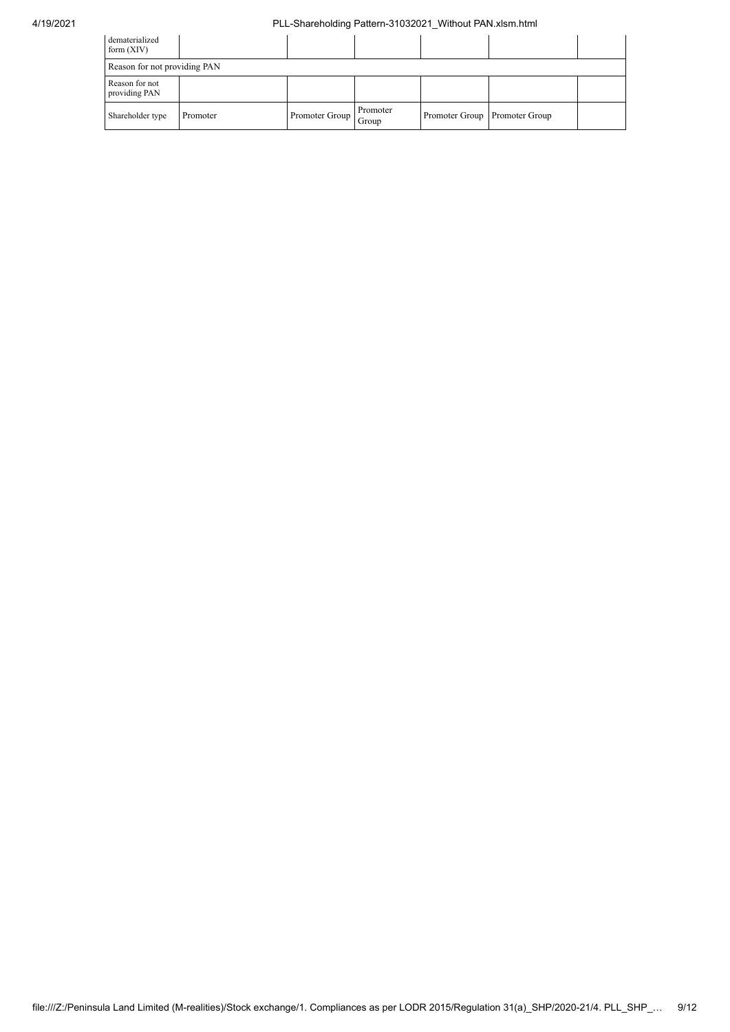## 4/19/2021 PLL-Shareholding Pattern-31032021\_Without PAN.xlsm.html

| dematerialized<br>form $(XIV)$  |          |                |                   |                               |  |
|---------------------------------|----------|----------------|-------------------|-------------------------------|--|
| Reason for not providing PAN    |          |                |                   |                               |  |
| Reason for not<br>providing PAN |          |                |                   |                               |  |
| Shareholder type                | Promoter | Promoter Group | Promoter<br>Group | Promoter Group Promoter Group |  |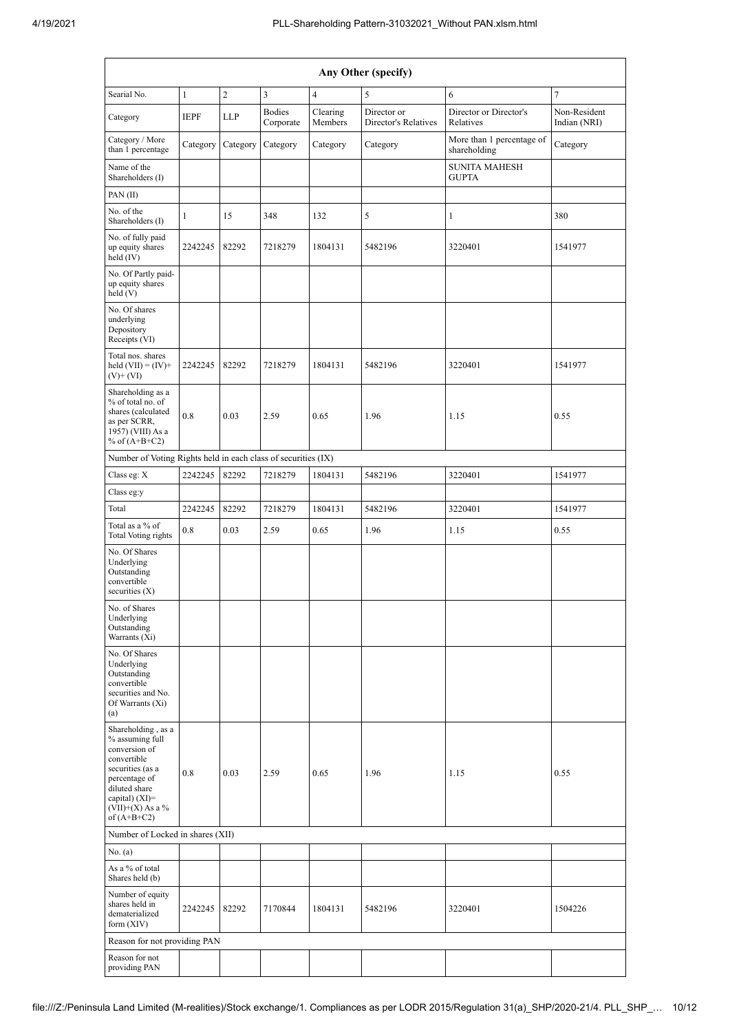| Any Other (specify)                                                                                                                                                                  |              |                |                            |                     |                                     |                                           |                              |  |  |  |  |  |
|--------------------------------------------------------------------------------------------------------------------------------------------------------------------------------------|--------------|----------------|----------------------------|---------------------|-------------------------------------|-------------------------------------------|------------------------------|--|--|--|--|--|
| Searial No.                                                                                                                                                                          | $\mathbf{1}$ | $\overline{c}$ | 3                          | $\overline{4}$      | 5                                   | 6                                         | $\overline{7}$               |  |  |  |  |  |
| Category                                                                                                                                                                             | <b>IEPF</b>  | LLP            | <b>Bodies</b><br>Corporate | Clearing<br>Members | Director or<br>Director's Relatives | Director or Director's<br>Relatives       | Non-Resident<br>Indian (NRI) |  |  |  |  |  |
| Category / More<br>than 1 percentage                                                                                                                                                 | Category     | Category       | Category                   | Category            | Category                            | More than 1 percentage of<br>shareholding | Category                     |  |  |  |  |  |
| Name of the<br>Shareholders (I)                                                                                                                                                      |              |                |                            |                     |                                     | <b>SUNITA MAHESH</b><br><b>GUPTA</b>      |                              |  |  |  |  |  |
| PAN(II)                                                                                                                                                                              |              |                |                            |                     |                                     |                                           |                              |  |  |  |  |  |
| No. of the<br>Shareholders (I)                                                                                                                                                       | 1            | 15             | 348                        | 132                 | 5                                   | 1                                         | 380                          |  |  |  |  |  |
| No. of fully paid<br>up equity shares<br>held (IV)                                                                                                                                   | 2242245      | 82292          | 7218279                    | 1804131             | 5482196                             | 3220401                                   | 1541977                      |  |  |  |  |  |
| No. Of Partly paid-<br>up equity shares<br>held(V)                                                                                                                                   |              |                |                            |                     |                                     |                                           |                              |  |  |  |  |  |
| No. Of shares<br>underlying<br>Depository<br>Receipts (VI)                                                                                                                           |              |                |                            |                     |                                     |                                           |                              |  |  |  |  |  |
| Total nos. shares<br>held $(VII) = (IV) +$<br>$(V)$ + $(VI)$                                                                                                                         | 2242245      | 82292          | 7218279                    | 1804131             | 5482196                             | 3220401                                   | 1541977                      |  |  |  |  |  |
| Shareholding as a<br>% of total no. of<br>shares (calculated<br>as per SCRR,<br>1957) (VIII) As a<br>% of $(A+B+C2)$                                                                 | 0.8          | 0.03           | 2.59                       | 0.65                | 1.96                                | 1.15                                      | 0.55                         |  |  |  |  |  |
| Number of Voting Rights held in each class of securities (IX)                                                                                                                        |              |                |                            |                     |                                     |                                           |                              |  |  |  |  |  |
| Class eg: X                                                                                                                                                                          | 2242245      | 82292          | 7218279                    | 1804131             | 5482196                             | 3220401                                   | 1541977                      |  |  |  |  |  |
| Class eg:y                                                                                                                                                                           |              |                |                            |                     |                                     |                                           |                              |  |  |  |  |  |
| Total                                                                                                                                                                                | 2242245      | 82292          | 7218279                    | 1804131             | 5482196                             | 3220401                                   | 1541977                      |  |  |  |  |  |
| Total as a % of<br>Total Voting rights                                                                                                                                               | 0.8          | 0.03           | 2.59                       | 0.65                | 1.96                                | 1.15                                      | 0.55                         |  |  |  |  |  |
| No. Of Shares<br>Underlying<br>Outstanding<br>convertible<br>securities $(X)$                                                                                                        |              |                |                            |                     |                                     |                                           |                              |  |  |  |  |  |
| No. of Shares<br>Underlying<br>Outstanding<br>Warrants (Xi)                                                                                                                          |              |                |                            |                     |                                     |                                           |                              |  |  |  |  |  |
| No. Of Shares<br>Underlying<br>Outstanding<br>convertible<br>securities and No.<br>Of Warrants (Xi)<br>(a)                                                                           |              |                |                            |                     |                                     |                                           |                              |  |  |  |  |  |
| Shareholding, as a<br>% assuming full<br>conversion of<br>convertible<br>securities (as a<br>percentage of<br>diluted share<br>capital) (XI)=<br>$(VII)+(X)$ As a %<br>of $(A+B+C2)$ | 0.8          | 0.03           | 2.59                       | 0.65                | 1.96                                | 1.15                                      | 0.55                         |  |  |  |  |  |
| Number of Locked in shares (XII)                                                                                                                                                     |              |                |                            |                     |                                     |                                           |                              |  |  |  |  |  |
| No. (a)                                                                                                                                                                              |              |                |                            |                     |                                     |                                           |                              |  |  |  |  |  |
| As a % of total<br>Shares held (b)                                                                                                                                                   |              |                |                            |                     |                                     |                                           |                              |  |  |  |  |  |
| Number of equity<br>shares held in<br>dematerialized<br>form $(XIV)$                                                                                                                 | 2242245      | 82292          | 7170844                    | 1804131             | 5482196                             | 3220401                                   | 1504226                      |  |  |  |  |  |
| Reason for not providing PAN                                                                                                                                                         |              |                |                            |                     |                                     |                                           |                              |  |  |  |  |  |
| Reason for not<br>providing PAN                                                                                                                                                      |              |                |                            |                     |                                     |                                           |                              |  |  |  |  |  |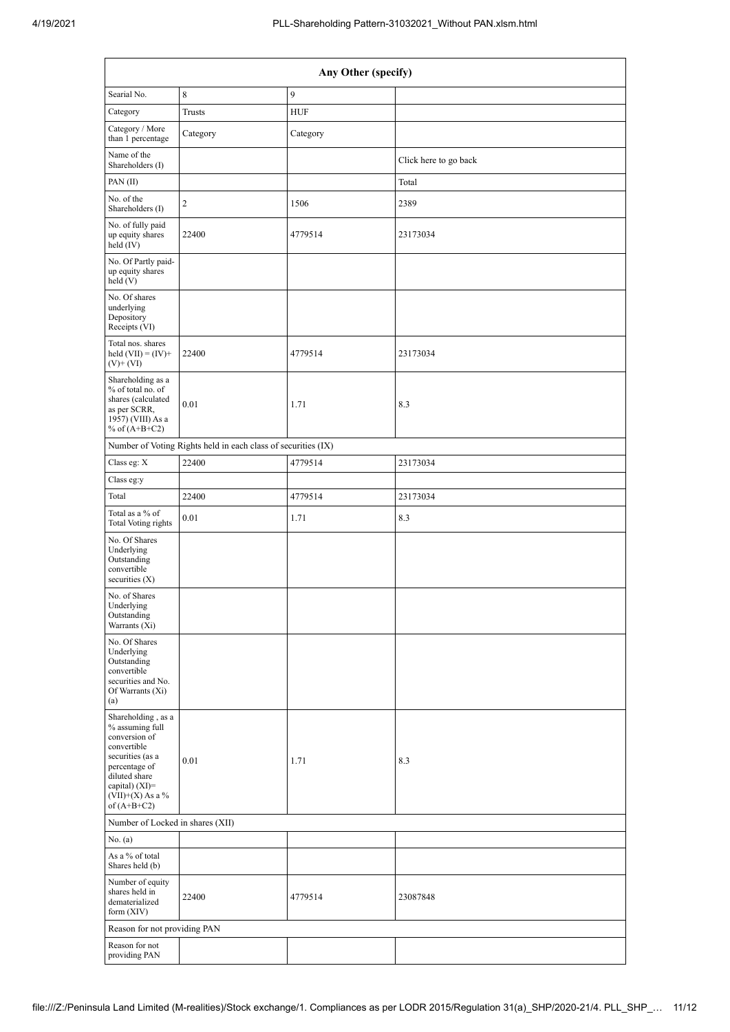| Any Other (specify)                                                                                                                                                                    |                                                               |             |                       |  |  |  |  |  |  |  |  |  |
|----------------------------------------------------------------------------------------------------------------------------------------------------------------------------------------|---------------------------------------------------------------|-------------|-----------------------|--|--|--|--|--|--|--|--|--|
| Searial No.                                                                                                                                                                            | 8                                                             | 9           |                       |  |  |  |  |  |  |  |  |  |
| Category                                                                                                                                                                               | <b>Trusts</b>                                                 | ${\rm HUF}$ |                       |  |  |  |  |  |  |  |  |  |
| Category / More<br>than 1 percentage                                                                                                                                                   | Category                                                      | Category    |                       |  |  |  |  |  |  |  |  |  |
| Name of the<br>Shareholders (I)                                                                                                                                                        |                                                               |             | Click here to go back |  |  |  |  |  |  |  |  |  |
| PAN $(II)$                                                                                                                                                                             |                                                               |             | Total                 |  |  |  |  |  |  |  |  |  |
| No. of the<br>Shareholders (I)                                                                                                                                                         | $\overline{c}$                                                | 1506        | 2389                  |  |  |  |  |  |  |  |  |  |
| No. of fully paid<br>up equity shares<br>held (IV)                                                                                                                                     | 22400                                                         | 4779514     | 23173034              |  |  |  |  |  |  |  |  |  |
| No. Of Partly paid-<br>up equity shares<br>held(V)                                                                                                                                     |                                                               |             |                       |  |  |  |  |  |  |  |  |  |
| No. Of shares<br>underlying<br>Depository<br>Receipts (VI)                                                                                                                             |                                                               |             |                       |  |  |  |  |  |  |  |  |  |
| Total nos. shares<br>held $(VII) = (IV) +$<br>$(V)$ + $(VI)$                                                                                                                           | 22400                                                         | 4779514     | 23173034              |  |  |  |  |  |  |  |  |  |
| Shareholding as a<br>% of total no. of<br>shares (calculated<br>as per SCRR,<br>1957) (VIII) As a<br>% of $(A+B+C2)$                                                                   | 0.01                                                          | 1.71        | 8.3                   |  |  |  |  |  |  |  |  |  |
|                                                                                                                                                                                        | Number of Voting Rights held in each class of securities (IX) |             |                       |  |  |  |  |  |  |  |  |  |
| Class eg: X                                                                                                                                                                            | 22400                                                         | 4779514     | 23173034              |  |  |  |  |  |  |  |  |  |
| Class eg:y                                                                                                                                                                             |                                                               |             |                       |  |  |  |  |  |  |  |  |  |
| Total                                                                                                                                                                                  | 22400                                                         | 4779514     | 23173034              |  |  |  |  |  |  |  |  |  |
| Total as a % of<br>Total Voting rights                                                                                                                                                 | 0.01                                                          | 1.71        | 8.3                   |  |  |  |  |  |  |  |  |  |
| No. Of Shares<br>Underlying<br>Outstanding<br>convertible<br>securities $(X)$                                                                                                          |                                                               |             |                       |  |  |  |  |  |  |  |  |  |
| No. of Shares<br>Underlying<br>Outstanding<br>Warrants (Xi)                                                                                                                            |                                                               |             |                       |  |  |  |  |  |  |  |  |  |
| No. Of Shares<br>Underlying<br>Outstanding<br>convertible<br>securities and No.<br>Of Warrants (Xi)<br>(a)                                                                             |                                                               |             |                       |  |  |  |  |  |  |  |  |  |
| Shareholding, as a<br>% assuming full<br>conversion of<br>convertible<br>securities (as a<br>percentage of<br>diluted share<br>capital) $(XI)=$<br>$(VII)+(X)$ As a %<br>of $(A+B+C2)$ | 0.01                                                          | 1.71        | 8.3                   |  |  |  |  |  |  |  |  |  |
| Number of Locked in shares (XII)                                                                                                                                                       |                                                               |             |                       |  |  |  |  |  |  |  |  |  |
| No. (a)                                                                                                                                                                                |                                                               |             |                       |  |  |  |  |  |  |  |  |  |
| As a % of total<br>Shares held (b)                                                                                                                                                     |                                                               |             |                       |  |  |  |  |  |  |  |  |  |
| Number of equity<br>shares held in<br>dematerialized<br>form $(XIV)$                                                                                                                   | 22400                                                         | 4779514     | 23087848              |  |  |  |  |  |  |  |  |  |
| Reason for not providing PAN                                                                                                                                                           |                                                               |             |                       |  |  |  |  |  |  |  |  |  |
| Reason for not<br>providing PAN                                                                                                                                                        |                                                               |             |                       |  |  |  |  |  |  |  |  |  |